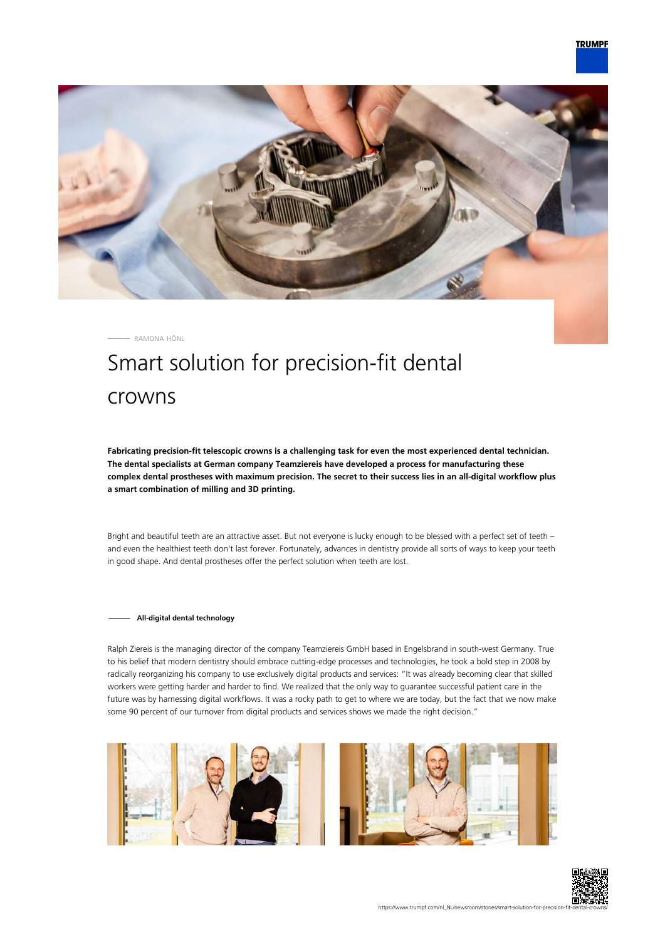

RAMONA HÖNL

# Smart solution for precision-fit dental crowns

**Fabricating precision-fit telescopic crowns is a challenging task for even the most experienced dental technician. The dental specialists at German company Teamziereis have developed a process for manufacturing these complex dental prostheses with maximum precision. The secret to their success lies in an all-digital workflow plus a smart combination of milling and 3D printing.**

Bright and beautiful teeth are an attractive asset. But not everyone is lucky enough to be blessed with a perfect set of teeth – and even the healthiest teeth don't last forever. Fortunately, advances in dentistry provide all sorts of ways to keep your teeth in good shape. And dental prostheses offer the perfect solution when teeth are lost.

## **All-digital dental technology**

Ralph Ziereis is the managing director of the company Teamziereis GmbH based in Engelsbrand in south-west Germany. True to his belief that modern dentistry should embrace cutting-edge processes and technologies, he took a bold step in 2008 by radically reorganizing his company to use exclusively digital products and services: "It was already becoming clear that skilled workers were getting harder and harder to find. We realized that the only way to guarantee successful patient care in the future was by harnessing digital workflows. It was a rocky path to get to where we are today, but the fact that we now make some 90 percent of our turnover from digital products and services shows we made the right decision."





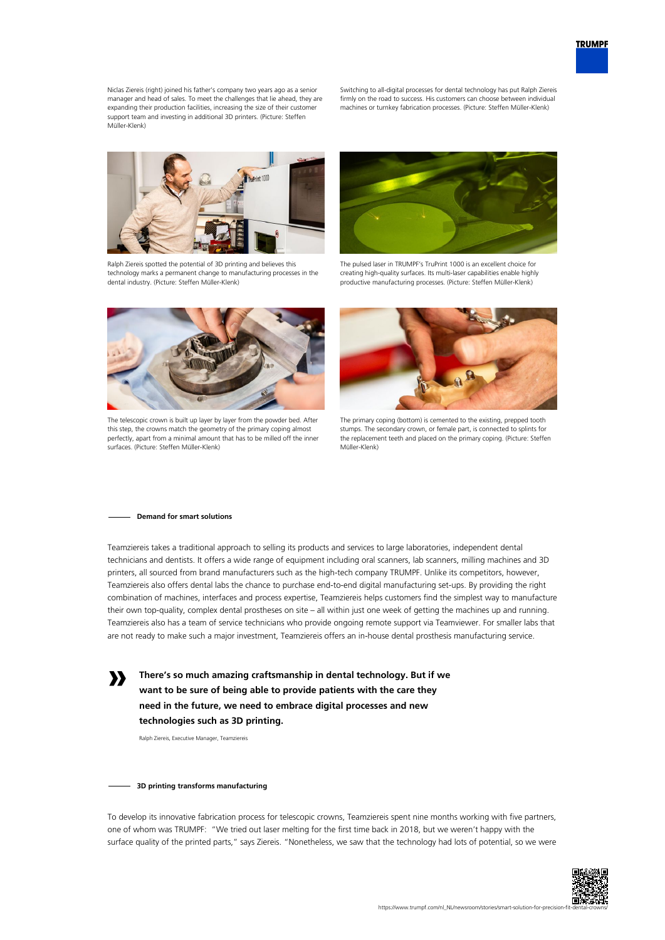Niclas Ziereis (right) joined his father's company two years ago as a senior manager and head of sales. To meet the challenges that lie ahead, they are expanding their production facilities, increasing the size of their customer support team and investing in additional 3D printers. (Picture: Steffen Müller-Klenk)

Switching to all-digital processes for dental technology has put Ralph Ziereis firmly on the road to success. His customers can choose between individual machines or turnkey fabrication processes. (Picture: Steffen Müller-Klenk)



Ralph Ziereis spotted the potential of 3D printing and believes this technology marks a permanent change to manufacturing processes in the dental industry. (Picture: Steffen Müller-Klenk)



The pulsed laser in TRUMPF's TruPrint 1000 is an excellent choice for creating high-quality surfaces. Its multi-laser capabilities enable highly productive manufacturing processes. (Picture: Steffen Müller-Klenk)



The telescopic crown is built up layer by layer from the powder bed. After this step, the crowns match the geometry of the primary coping almost perfectly, apart from a minimal amount that has to be milled off the inner surfaces. (Picture: Steffen Müller-Klenk)



The primary coping (bottom) is cemented to the existing, prepped tooth stumps. The secondary crown, or female part, is connected to splints for the replacement teeth and placed on the primary coping. (Picture: Steffen Müller-Klenk)

#### **Demand for smart solutions**

**»**

Teamziereis takes a traditional approach to selling its products and services to large laboratories, independent dental technicians and dentists. It offers a wide range of equipment including oral scanners, lab scanners, milling machines and 3D printers, all sourced from brand manufacturers such as the high-tech company TRUMPF. Unlike its competitors, however, Teamziereis also offers dental labs the chance to purchase end-to-end digital manufacturing set-ups. By providing the right combination of machines, interfaces and process expertise, Teamziereis helps customers find the simplest way to manufacture their own top-quality, complex dental prostheses on site – all within just one week of getting the machines up and running. Teamziereis also has a team of service technicians who provide ongoing remote support via Teamviewer. For smaller labs that are not ready to make such a major investment, Teamziereis offers an in-house dental prosthesis manufacturing service.

**There's so much amazing craftsmanship in dental technology. But if we want to be sure of being able to provide patients with the care they need in the future, we need to embrace digital processes and new technologies such as 3D printing.**

Ralph Ziereis, Executive Manager, Teamziereis

## **3D printing transforms manufacturing**

To develop its innovative fabrication process for telescopic crowns, Teamziereis spent nine months working with five partners, one of whom was TRUMPF: "We tried out laser melting for the first time back in 2018, but we weren't happy with the surface quality of the printed parts," says Ziereis. "Nonetheless, we saw that the technology had lots of potential, so we were